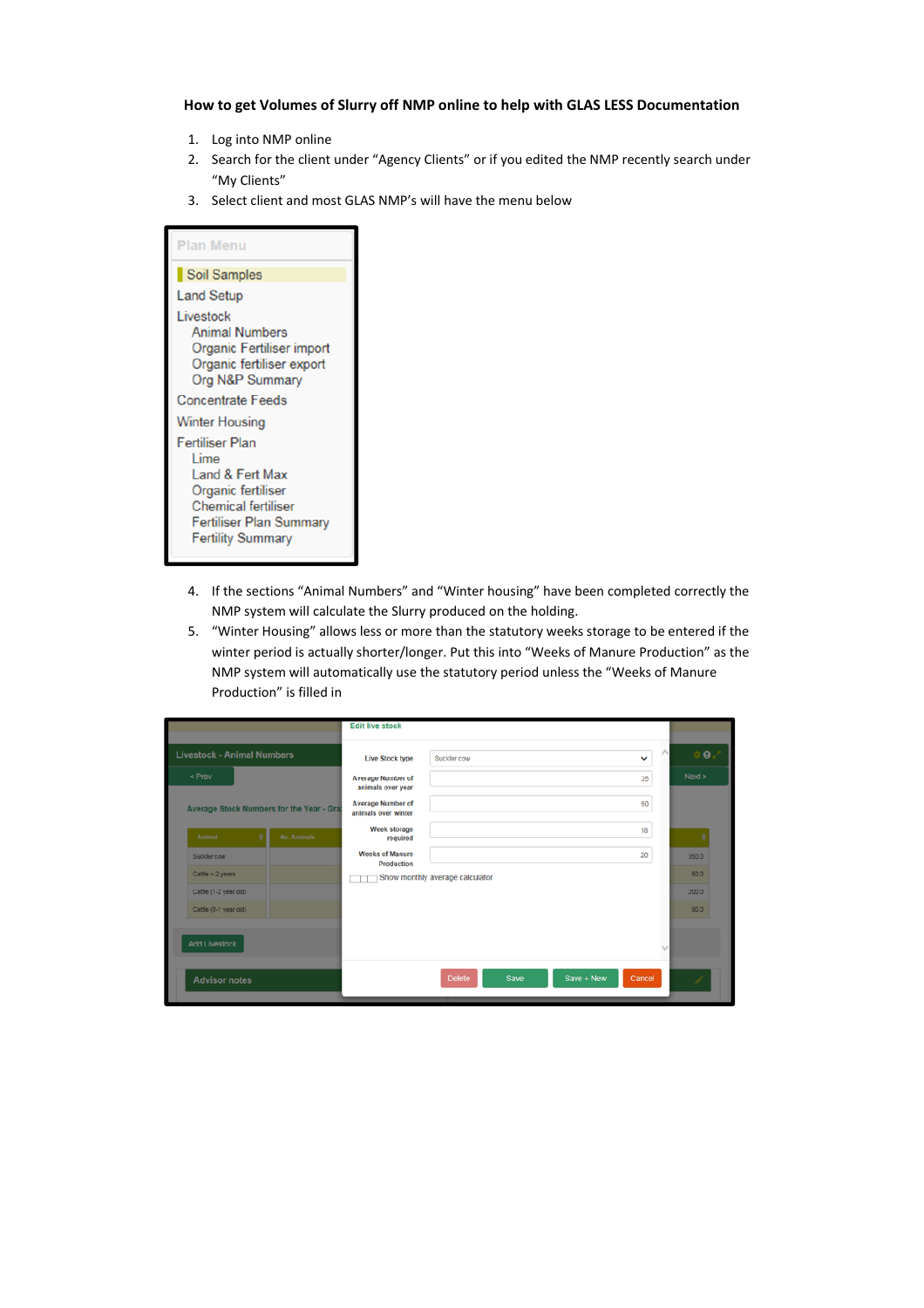## **How to get Volumes of Slurry off NMP online to help with GLAS LESS Documentation**

- 1. Log into NMP online
- 2. Search for the client under "Agency Clients" or if you edited the NMP recently search under "My Clients"
- 3. Select client and most GLAS NMP's will have the menu below

| Plan Menu                                                                                                                                                    |
|--------------------------------------------------------------------------------------------------------------------------------------------------------------|
| Soil Samples                                                                                                                                                 |
| <b>Land Setup</b>                                                                                                                                            |
| Livestock<br><b>Animal Numbers</b><br>Organic Fertiliser import<br>Organic fertiliser export<br>Org N&P Summary                                              |
| <b>Concentrate Feeds</b>                                                                                                                                     |
| <b>Winter Housing</b>                                                                                                                                        |
| <b>Fertiliser Plan</b><br>Lime<br>Land & Fert Max<br>Organic fertiliser<br><b>Chemical fertiliser</b><br>Fertiliser Plan Summary<br><b>Fertility Summary</b> |

- 4. If the sections "Animal Numbers" and "Winter housing" have been completed correctly the NMP system will calculate the Slurry produced on the holding.
- 5. "Winter Housing" allows less or more than the statutory weeks storage to be entered if the winter period is actually shorter/longer. Put this into "Weeks of Manure Production" as the NMP system will automatically use the statutory period unless the "Weeks of Manure Production" is filled in

|                                           | <b>Edit live stock</b>                        |                                 |                      |            |
|-------------------------------------------|-----------------------------------------------|---------------------------------|----------------------|------------|
| <b>Livestock - Animal Numbers</b>         | Live Stock type                               | Suckler cow                     | $\checkmark$         | $\oplus$ 0 |
| < Prev                                    | <b>Average Number of</b><br>animals over year |                                 | 35                   | Next       |
| Average Stock Numbers for the Year - Gra: | Average Number of<br>animals over winter      |                                 | 50                   |            |
| No. Animals<br>Animal                     | Week storage<br>required                      |                                 | 18                   |            |
| Suckler cow                               | <b>Weeks of Manure</b><br>Production          |                                 | 20                   | 350.0      |
| Cattle $>$ 2 years                        |                                               | Show monthly average calculator |                      | 50.0       |
| Cattle (1-2 year old)                     |                                               |                                 |                      | 200.0      |
| Cattle (0-1 year old)                     |                                               |                                 |                      | 90.0       |
| <b>Add Livestock</b>                      |                                               |                                 |                      |            |
| <b>Advisor notes</b>                      |                                               | <b>Delete</b><br>Save           | Save + New<br>Cancel | 1          |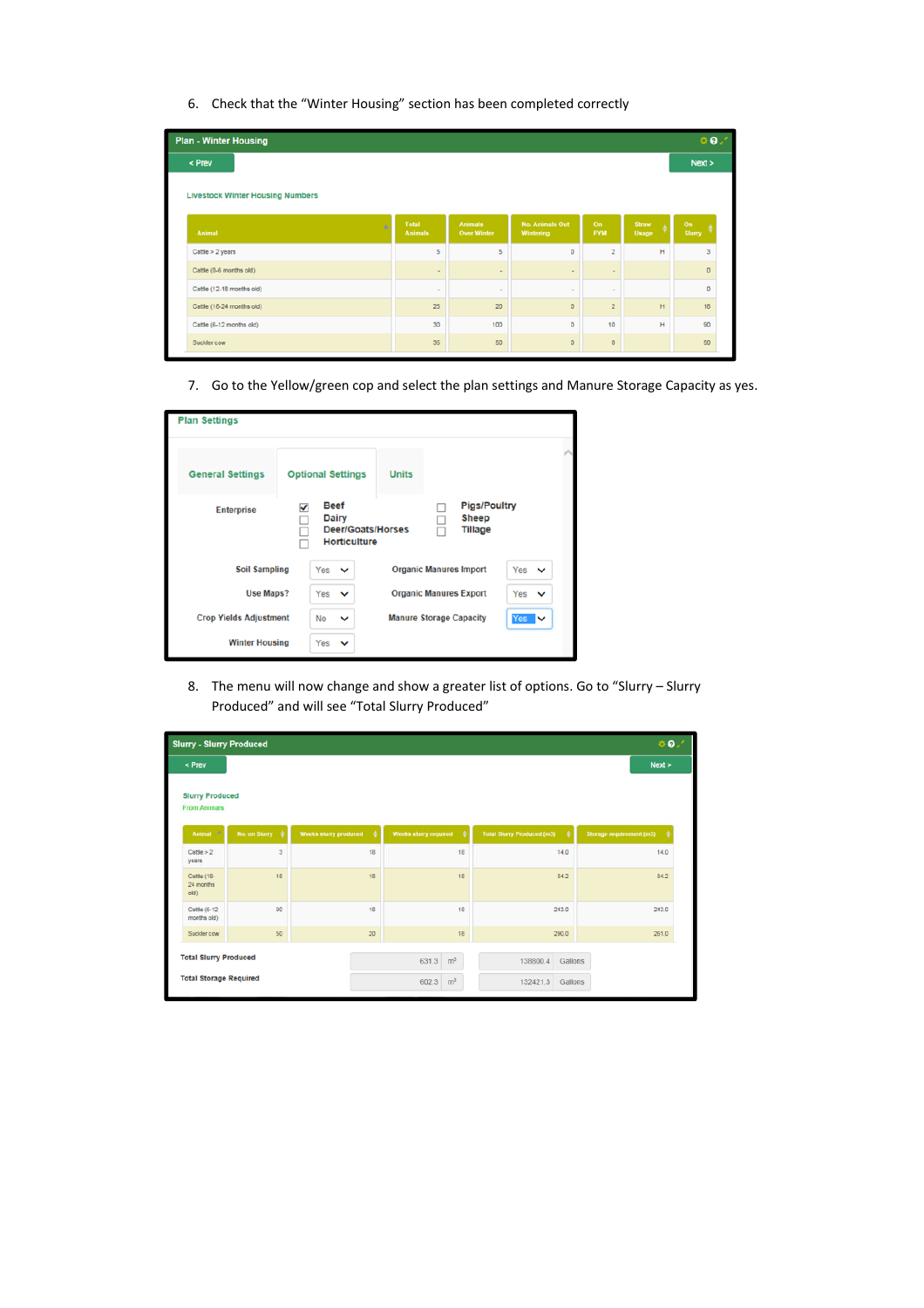6. Check that the "Winter Housing" section has been completed correctly

| 0.9<br><b>Plan - Winter Housing</b>     |                         |                                      |                                     |                  |                |              |
|-----------------------------------------|-------------------------|--------------------------------------|-------------------------------------|------------------|----------------|--------------|
| < Prev                                  |                         |                                      |                                     |                  |                | Next >       |
| <b>Livestock Winter Housing Numbers</b> |                         |                                      |                                     |                  |                |              |
| ä<br>Animal                             | Total<br><b>Animals</b> | <b>Animals</b><br><b>Over Winter</b> | <b>No. Animals Out</b><br>Wintering | On<br><b>FYM</b> | Straw<br>Usage | On<br>Slurry |
| Cattle $>$ 2 years                      | 5                       | 5                                    | $\circ$                             | $\overline{2}$   | н              | 3            |
| Cattle (0-6 months old)                 | $\sim$                  | $\sim$                               | $\sim$                              | $\sim$           |                | $\Omega$     |
| Cattle (12-18 months old)               | $\sim$                  | $\sim$                               | $\sim$                              | $\sim$           |                | $\Omega$     |
| Cattle (18-24 months old)               | 25                      | 20                                   | $\circ$                             | $\overline{2}$   | H              | 18           |
| Cattle (6-12 months old)                | 30                      | 100                                  | $\circ$                             | 10               | н              | 90           |
| Suckler cow                             | 35                      | 50                                   | $\circ$                             | $\mathbf{O}$     |                | 50           |

7. Go to the Yellow/green cop and select the plan settings and Manure Storage Capacity as yes.

| <b>Plan Settings</b>          |     |                                                                         |                                                      |                                                |                     |
|-------------------------------|-----|-------------------------------------------------------------------------|------------------------------------------------------|------------------------------------------------|---------------------|
| <b>General Settings</b>       |     | <b>Optional Settings</b>                                                | <b>Units</b>                                         |                                                |                     |
| <b>Enterprise</b>             |     | <b>Beef</b><br>Dairy<br><b>Deer/Goats/Horses</b><br><b>Horticulture</b> |                                                      | <b>Pigs/Poultry</b><br><b>Sheep</b><br>Tillage |                     |
| <b>Soil Sampling</b>          | Yes | $\checkmark$                                                            |                                                      | <b>Organic Manures Import</b>                  | Yes $\vee$          |
| <b>Use Maps?</b>              |     | Yes<br>$\checkmark$                                                     | <b>Organic Manures Export</b><br>Yes<br>$\checkmark$ |                                                |                     |
| <b>Crop Yields Adjustment</b> |     | No<br>$\checkmark$                                                      |                                                      | <b>Manure Storage Capacity</b>                 | Yes $\triangledown$ |
| <b>Winter Housing</b>         | Yes | $\checkmark$                                                            |                                                      |                                                |                     |

8. The menu will now change and show a greater list of options. Go to "Slurry – Slurry Produced" and will see "Total Slurry Produced"

| 0.7<br><b>Slurry - Slurry Produced</b>        |                         |                            |                            |                                        |                          |  |  |
|-----------------------------------------------|-------------------------|----------------------------|----------------------------|----------------------------------------|--------------------------|--|--|
| < Prev                                        |                         |                            |                            |                                        | Next                     |  |  |
| <b>Slurry Produced</b><br><b>From Animals</b> |                         |                            |                            |                                        |                          |  |  |
| Animal <sup>3</sup>                           | No. on Slurry           | Weeks sturry produced<br>٠ | Weeks sturry required<br>٠ | <b>Total Slurry Produced (m3)</b><br>٠ | Storage requirement (m3) |  |  |
| Cstile > 2<br>years                           | $\overline{\mathbf{3}}$ | 18                         | 18                         | 14.0                                   | 14.0                     |  |  |
| Cattle (18-<br>24 months<br>old)              | 18                      | 18                         | 18                         | 84.2                                   | 84.2                     |  |  |
| Cattle (6-12)<br>months old)                  | 90                      | 18                         | 18                         | 243.0                                  | 243.0                    |  |  |
| Suckler cow                                   | 50                      | 20                         | 18                         | 290.0                                  | 261.0                    |  |  |
| <b>Total Slurry Produced</b>                  |                         |                            | m <sup>3</sup><br>631.3    | 138800.4                               | Gallons                  |  |  |
| <b>Total Storage Required</b>                 |                         |                            | m <sup>3</sup><br>602.3    | 132421.3                               | Gallons                  |  |  |